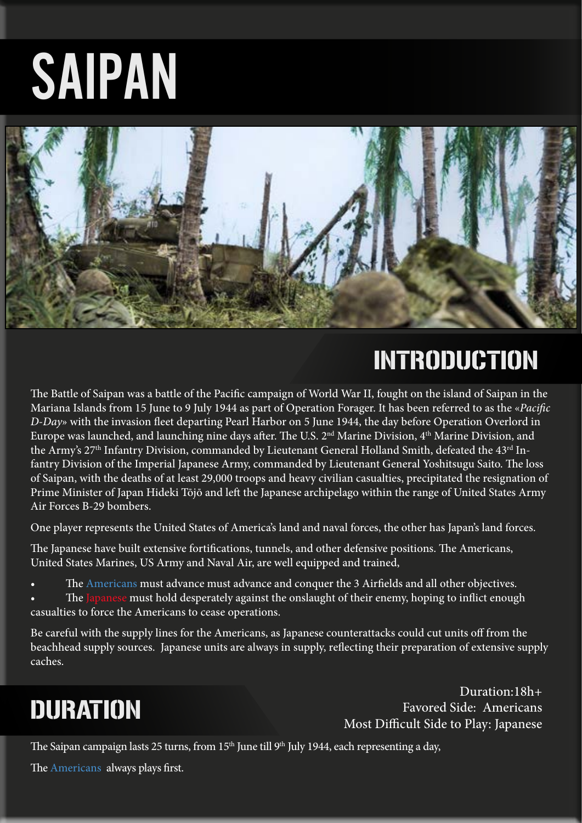# SAIPAN



# INTRODUCTION

The Battle of Saipan was a battle of the Pacific campaign of World War II, fought on the island of Saipan in the Mariana Islands from 15 June to 9 July 1944 as part of Operation Forager. It has been referred to as the «*Pacific D-Day*» with the invasion fleet departing Pearl Harbor on 5 June 1944, the day before Operation Overlord in Europe was launched, and launching nine days after. The U.S. 2<sup>nd</sup> Marine Division, 4<sup>th</sup> Marine Division, and the Army's 27<sup>th</sup> Infantry Division, commanded by Lieutenant General Holland Smith, defeated the  $43^{\text{rd}}$  Infantry Division of the Imperial Japanese Army, commanded by Lieutenant General Yoshitsugu Saito. The loss of Saipan, with the deaths of at least 29,000 troops and heavy civilian casualties, precipitated the resignation of Prime Minister of Japan Hideki Tōjō and left the Japanese archipelago within the range of United States Army Air Forces B-29 bombers.

One player represents the United States of America's land and naval forces, the other has Japan's land forces.

The Japanese have built extensive fortifications, tunnels, and other defensive positions. The Americans, United States Marines, US Army and Naval Air, are well equipped and trained,

- The Americans must advance must advance and conquer the 3 Airfields and all other objectives.
- The Japanese must hold desperately against the onslaught of their enemy, hoping to inflict enough casualties to force the Americans to cease operations.

Be careful with the supply lines for the Americans, as Japanese counterattacks could cut units off from the beachhead supply sources. Japanese units are always in supply, reflecting their preparation of extensive supply caches.

### DURATION

Duration:18h+ Favored Side: Americans Most Difficult Side to Play: Japanese

The Saipan campaign lasts 25 turns, from 15<sup>th</sup> June till 9<sup>th</sup> July 1944, each representing a day,

The Americans always plays first.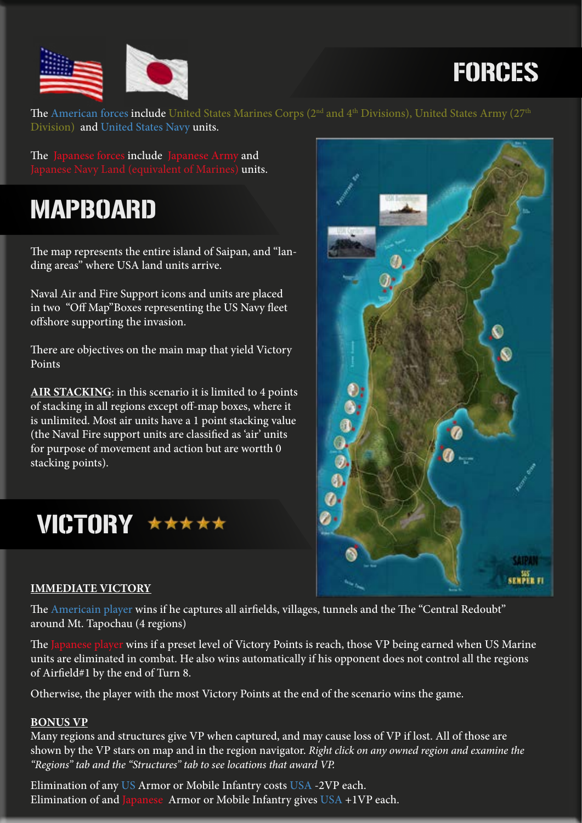



The American forces include United States Marines Corps (2<sup>nd</sup> and 4<sup>th</sup> Divisions), United States Army (27<sup>th</sup> Division) and United States Navy units.

The Japanese forces include Japanese Army and Japanese Navy Land (equivalent of Marines) **units.** 

### MAPBOARD

The map represents the entire island of Saipan, and "landing areas" where USA land units arrive.

Naval Air and Fire Support icons and units are placed in two "Off Map"Boxes representing the US Navy fleet offshore supporting the invasion.

There are objectives on the main map that yield Victory Points

**AIR STACKING**: in this scenario it is limited to 4 points of stacking in all regions except off-map boxes, where it is unlimited. Most air units have a 1 point stacking value (the Naval Fire support units are classified as 'air' units for purpose of movement and action but are wortth 0 stacking points).

VICTORY \*\*\*\*\*

#### **IMMEDIATE VICTORY**

The Americain player wins if he captures all airfields, villages, tunnels and the The "Central Redoubt" around Mt. Tapochau (4 regions)

The Japanese player wins if a preset level of Victory Points is reach, those VP being earned when US Marine units are eliminated in combat. He also wins automatically if his opponent does not control all the regions of Airfield#1 by the end of Turn 8.

Otherwise, the player with the most Victory Points at the end of the scenario wins the game.

#### **BONUS VP**

Many regions and structures give VP when captured, and may cause loss of VP if lost. All of those are shown by the VP stars on map and in the region navigator. *Right click on any owned region and examine the "Regions" tab and the "Structures" tab to see locations that award VP.*

Elimination of any US Armor or Mobile Infantry costs USA -2VP each. Elimination of and Japanese Armor or Mobile Infantry gives  $USA +1VP$  each.

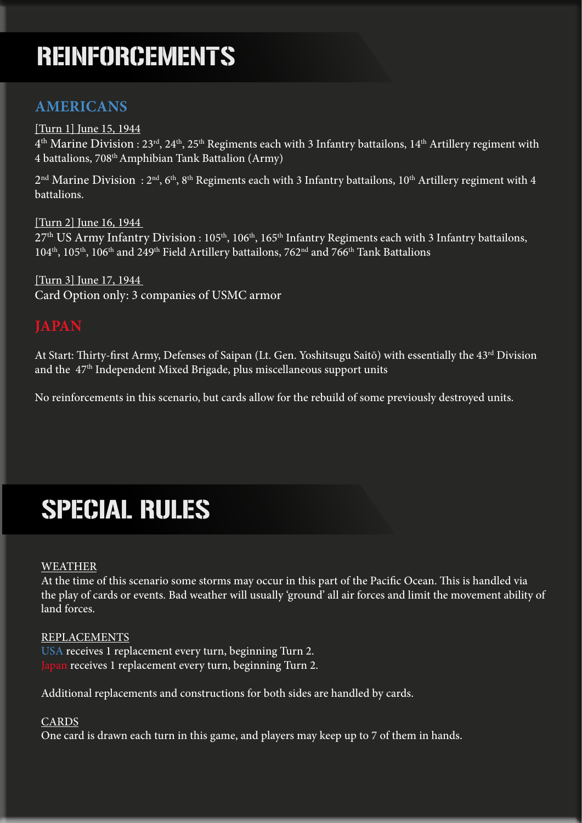### REINFORCEMENTS

### **AMERICANS**

[Turn 1] June 15, 1944  $4<sup>th</sup>$  Marine Division : 23<sup>rd</sup>, 24<sup>th</sup>, 25<sup>th</sup> Regiments each with 3 Infantry battailons, 14<sup>th</sup> Artillery regiment with 4 battalions, 708th Amphibian Tank Battalion (Army)

 $2<sup>nd</sup>$  Marine Division:  $2<sup>nd</sup>$ , 6<sup>th</sup>, 8<sup>th</sup> Regiments each with 3 Infantry battailons, 10<sup>th</sup> Artillery regiment with 4 battalions.

[Turn 2] June 16, 1944  $27<sup>th</sup> US Army Infantry Division: 105<sup>th</sup>, 106<sup>th</sup>, 165<sup>th</sup> Infantry Regiments each with 3 Infantry battailons,$  $104<sup>th</sup>$ ,  $105<sup>th</sup>$ ,  $106<sup>th</sup>$  and  $249<sup>th</sup>$  Field Artillery battailons,  $762<sup>nd</sup>$  and  $766<sup>th</sup>$  Tank Battalions

[Turn 3] June 17, 1944 Card Option only: 3 companies of USMC armor

#### **JAPAN**

At Start: Thirty-first Army, Defenses of Saipan (Lt. Gen. Yoshitsugu Saitō) with essentially the 43<sup>rd</sup> Division and the 47<sup>th</sup> Independent Mixed Brigade, plus miscellaneous support units

No reinforcements in this scenario, but cards allow for the rebuild of some previously destroyed units.

# SPECIAL RULES

#### WEATHER

At the time of this scenario some storms may occur in this part of the Pacific Ocean. This is handled via the play of cards or events. Bad weather will usually 'ground' all air forces and limit the movement ability of land forces.

REPLACEMENTS USA receives 1 replacement every turn, beginning Turn 2. Japan receives 1 replacement every turn, beginning Turn 2.

Additional replacements and constructions for both sides are handled by cards.

#### **CARDS**

One card is drawn each turn in this game, and players may keep up to 7 of them in hands.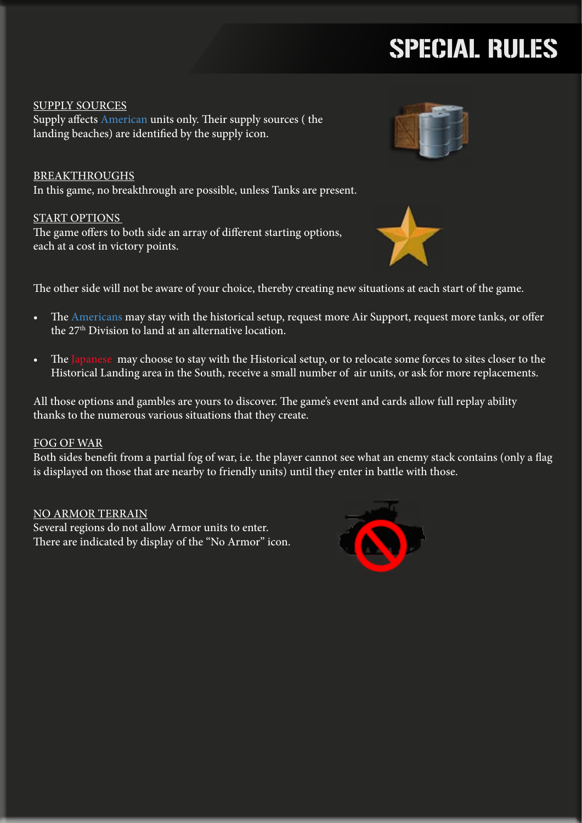# SPECIAL RULES

SUPPLY SOURCES Supply affects American units only. Their supply sources ( the landing beaches) are identified by the supply icon.

BREAKTHROUGHS In this game, no breakthrough are possible, unless Tanks are present.

#### START OPTIONS

The game offers to both side an array of different starting options, each at a cost in victory points.





The other side will not be aware of your choice, thereby creating new situations at each start of the game.

- The Americans may stay with the historical setup, request more Air Support, request more tanks, or offer the 27th Division to land at an alternative location.
- The Japanese may choose to stay with the Historical setup, or to relocate some forces to sites closer to the Historical Landing area in the South, receive a small number of air units, or ask for more replacements.

All those options and gambles are yours to discover. The game's event and cards allow full replay ability thanks to the numerous various situations that they create.

#### FOG OF WAR

Both sides benefit from a partial fog of war, i.e. the player cannot see what an enemy stack contains (only a flag is displayed on those that are nearby to friendly units) until they enter in battle with those.

NO ARMOR TERRAIN Several regions do not allow Armor units to enter. There are indicated by display of the "No Armor" icon.